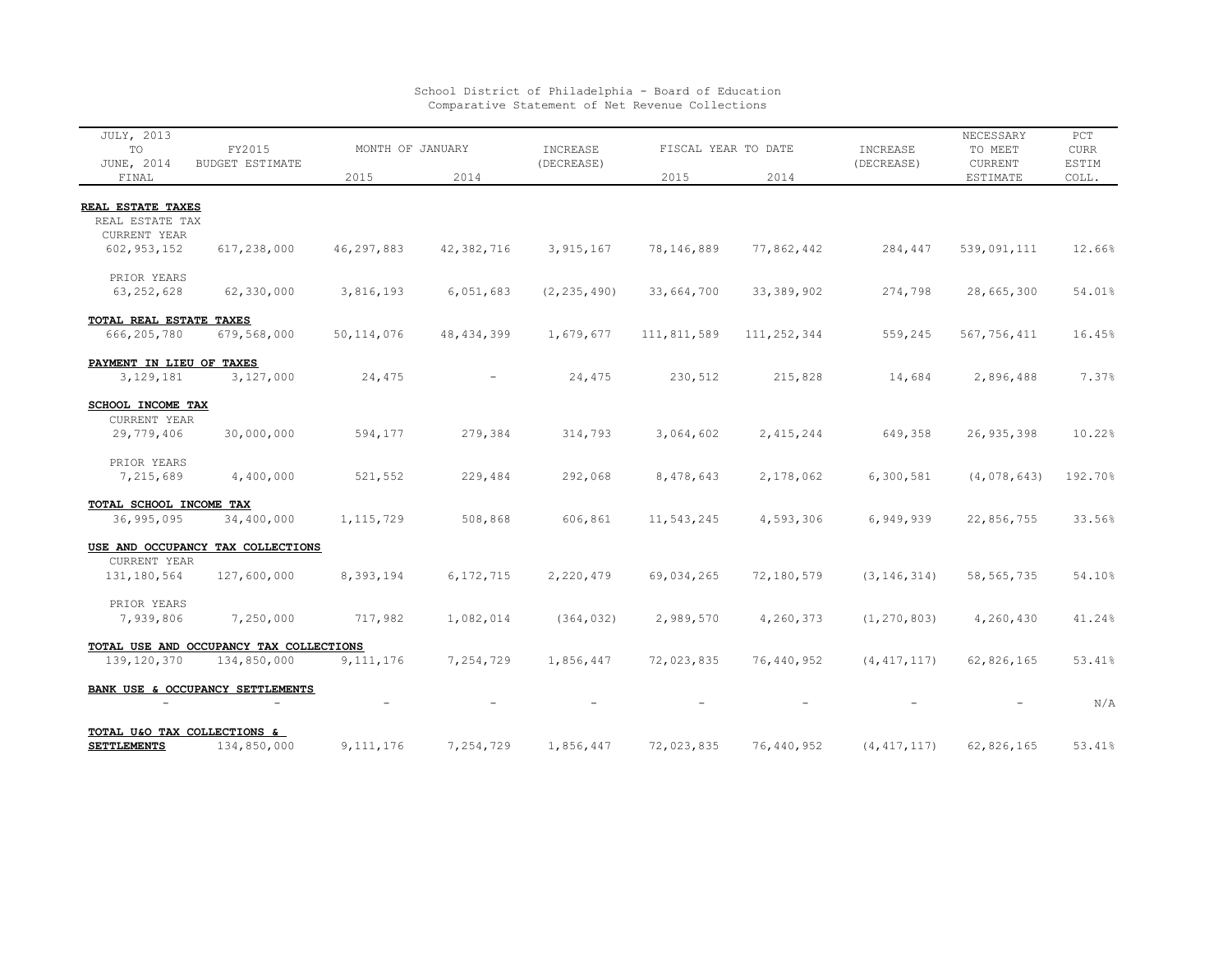| JULY, 2013<br>TO                     | FY2015                                  | MONTH OF JANUARY |              | INCREASE      | FISCAL YEAR TO DATE |               | INCREASE      | NECESSARY<br>TO MEET | PCT<br><b>CURR</b> |
|--------------------------------------|-----------------------------------------|------------------|--------------|---------------|---------------------|---------------|---------------|----------------------|--------------------|
| JUNE, 2014<br>FINAL                  | <b>BUDGET ESTIMATE</b>                  | 2015             | 2014         | (DECREASE)    | 2015                | 2014          | (DECREASE)    | CURRENT<br>ESTIMATE  | ESTIM<br>COLL.     |
|                                      |                                         |                  |              |               |                     |               |               |                      |                    |
| REAL ESTATE TAXES<br>REAL ESTATE TAX |                                         |                  |              |               |                     |               |               |                      |                    |
| CURRENT YEAR                         |                                         |                  |              |               |                     |               |               |                      |                    |
| 602, 953, 152                        | 617,238,000                             | 46,297,883       | 42,382,716   | 3, 915, 167   | 78,146,889          | 77,862,442    | 284,447       | 539,091,111          | 12.66%             |
| PRIOR YEARS                          |                                         |                  |              |               |                     |               |               |                      |                    |
| 63, 252, 628                         | 62,330,000                              | 3,816,193        | 6,051,683    | (2, 235, 490) | 33,664,700          | 33, 389, 902  | 274,798       | 28,665,300           | 54.01%             |
| TOTAL REAL ESTATE TAXES              |                                         |                  |              |               |                     |               |               |                      |                    |
| 666,205,780                          | 679,568,000                             | 50, 114, 076     | 48, 434, 399 | 1,679,677     | 111,811,589         | 111, 252, 344 | 559,245       | 567,756,411          | 16.45%             |
| PAYMENT IN LIEU OF TAXES             |                                         |                  |              |               |                     |               |               |                      |                    |
| 3, 129, 181                          | 3,127,000                               | 24,475           |              | 24,475        | 230,512             | 215,828       | 14,684        | 2,896,488            | 7.37%              |
| SCHOOL INCOME TAX                    |                                         |                  |              |               |                     |               |               |                      |                    |
| CURRENT YEAR                         |                                         |                  |              |               |                     |               |               |                      |                    |
| 29,779,406                           | 30,000,000                              | 594,177          | 279,384      | 314,793       | 3,064,602           | 2, 415, 244   | 649,358       | 26, 935, 398         | 10.22%             |
| PRIOR YEARS                          |                                         |                  |              |               |                     |               |               |                      |                    |
| 7,215,689                            | 4,400,000                               | 521,552          | 229,484      | 292,068       | 8,478,643           | 2,178,062     | 6,300,581     | (4,078,643)          | 192.70%            |
| TOTAL SCHOOL INCOME TAX              |                                         |                  |              |               |                     |               |               |                      |                    |
| 36,995,095                           | 34,400,000                              | 1, 115, 729      | 508,868      | 606,861       | 11,543,245          | 4,593,306     | 6,949,939     | 22,856,755           | 33.56%             |
|                                      | USE AND OCCUPANCY TAX COLLECTIONS       |                  |              |               |                     |               |               |                      |                    |
| CURRENT YEAR                         |                                         |                  |              |               |                     | 72,180,579    |               |                      |                    |
| 131, 180, 564                        | 127,600,000                             | 8,393,194        | 6, 172, 715  | 2,220,479     | 69,034,265          |               | (3, 146, 314) | 58, 565, 735         | 54.10%             |
| PRIOR YEARS                          |                                         |                  |              |               |                     |               |               |                      |                    |
| 7,939,806                            | 7,250,000                               | 717,982          | 1,082,014    | (364, 032)    | 2,989,570           | 4,260,373     | (1, 270, 803) | 4,260,430            | 41.24%             |
|                                      | TOTAL USE AND OCCUPANCY TAX COLLECTIONS |                  |              |               |                     |               |               |                      |                    |
| 139, 120, 370                        | 134,850,000                             | 9, 111, 176      | 7,254,729    | 1,856,447     | 72,023,835          | 76,440,952    | (4, 417, 117) | 62,826,165           | 53.41%             |
|                                      | BANK USE & OCCUPANCY SETTLEMENTS        |                  |              |               |                     |               |               |                      |                    |
|                                      |                                         |                  |              |               |                     |               |               |                      | N/A                |
|                                      | TOTAL U&O TAX COLLECTIONS &             |                  |              |               |                     |               |               |                      |                    |
| <b>SETTLEMENTS</b>                   | 134,850,000                             | 9, 111, 176      | 7,254,729    | 1,856,447     | 72,023,835          | 76,440,952    | (4, 417, 117) | 62,826,165           | 53.41%             |

## School District of Philadelphia - Board of Education Comparative Statement of Net Revenue Collections